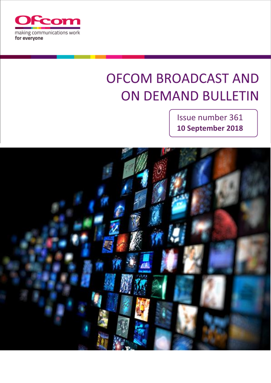

# **OFCOM BROADCAST AND ON DEMAND BULLETIN**

Issue number 361 **10 September 2018**

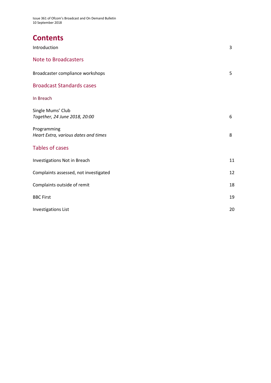Issue 361 of Ofcom's Broadcast and On Demand Bulletin 10 September 2018

# **Contents**

| Introduction                                        | 3  |
|-----------------------------------------------------|----|
| <b>Note to Broadcasters</b>                         |    |
| Broadcaster compliance workshops                    | 5  |
| <b>Broadcast Standards cases</b>                    |    |
| In Breach                                           |    |
| Single Mums' Club<br>Together, 24 June 2018, 20:00  | 6  |
| Programming<br>Heart Extra, various dates and times | 8  |
| <b>Tables of cases</b>                              |    |
| Investigations Not in Breach                        | 11 |
| Complaints assessed, not investigated               | 12 |
| Complaints outside of remit                         | 18 |
| <b>BBC First</b>                                    | 19 |
| <b>Investigations List</b>                          | 20 |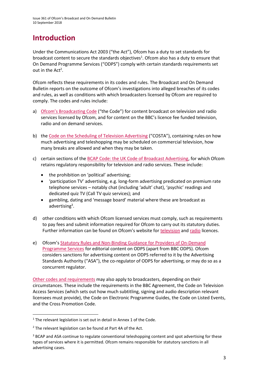# **Introduction**

Under the Communications Act 2003 ("the Act"), Ofcom has a duty to set standards for broadcast content to secure the standards objectives<sup>1</sup>. Ofcom also has a duty to ensure that On Demand Programme Services ("ODPS") comply with certain standards requirements set out in the  $Act^2$ .

Ofcom reflects these requirements in its codes and rules. The Broadcast and On Demand Bulletin reports on the outcome of Ofcom's investigations into alleged breaches of its codes and rules, as well as conditions with which broadcasters licensed by Ofcom are required to comply. The codes and rules include:

- a) [Ofcom's Broadcasting Code](http://stakeholders.ofcom.org.uk/broadcasting/broadcast-codes/broadcast-code/) ("the Code") for content broadcast on television and radio services licensed by Ofcom, and for content on the BBC's licence fee funded television, radio and on demand services.
- b) the [Code on the Scheduling of Television Advertising](https://www.ofcom.org.uk/__data/assets/pdf_file/0014/32162/costa-april-2016.pdf) ("COSTA"), containing rules on how much advertising and teleshopping may be scheduled on commercial television, how many breaks are allowed and when they may be taken.
- c) certain sections of th[e BCAP Code: the UK Code of Broadcast Advertising,](https://www.cap.org.uk/Advertising-Codes/Broadcast.aspx) for which Ofcom retains regulatory responsibility for television and radio services. These include:
	- the prohibition on 'political' advertising;
	- 'participation TV' advertising, e.g. long-form advertising predicated on premium rate telephone services – notably chat (including 'adult' chat), 'psychic' readings and dedicated quiz TV (Call TV quiz services); and
	- gambling, dating and 'message board' material where these are broadcast as advertising<sup>3</sup>.
- d) other conditions with which Ofcom licensed services must comply, such as requirements to pay fees and submit information required for Ofcom to carry out its statutory duties. Further information can be found on Ofcom's website for [television](http://licensing.ofcom.org.uk/tv-broadcast-licences/) and [radio](http://licensing.ofcom.org.uk/radio-broadcast-licensing/) licences.
- e) Ofcom's [Statutory Rules and Non-Binding Guidance for Providers of On-Demand](http://stakeholders.ofcom.org.uk/binaries/broadcast/on-demand/rules-guidance/rules_and_guidance.pdf)  [Programme Services](http://stakeholders.ofcom.org.uk/binaries/broadcast/on-demand/rules-guidance/rules_and_guidance.pdf) for editorial content on ODPS (apart from BBC ODPS). Ofcom considers sanctions for advertising content on ODPS referred to it by the Advertising Standards Authority ("ASA"), the co-regulator of ODPS for advertising, or may do so as a concurrent regulator.

[Other codes and requirements](http://stakeholders.ofcom.org.uk/broadcasting/broadcast-codes/) may also apply to broadcasters, depending on their circumstances. These include the requirements in the BBC Agreement, the Code on Television Access Services (which sets out how much subtitling, signing and audio description relevant licensees must provide), the Code on Electronic Programme Guides, the Code on Listed Events, and the Cross Promotion Code.

**.** 

<sup>&</sup>lt;sup>1</sup> The relevant legislation is set out in detail in Annex 1 of the Code.

<sup>&</sup>lt;sup>2</sup> The relevant legislation can be found at Part 4A of the Act.

<sup>&</sup>lt;sup>3</sup> BCAP and ASA continue to regulate conventional teleshopping content and spot advertising for these types of services where it is permitted. Ofcom remains responsible for statutory sanctions in all advertising cases.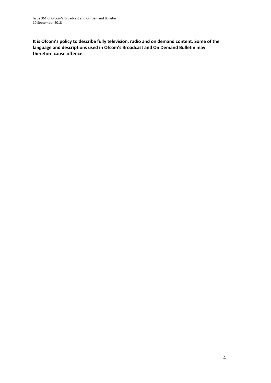**It is Ofcom's policy to describe fully television, radio and on demand content. Some of the language and descriptions used in Ofcom's Broadcast and On Demand Bulletin may therefore cause offence.**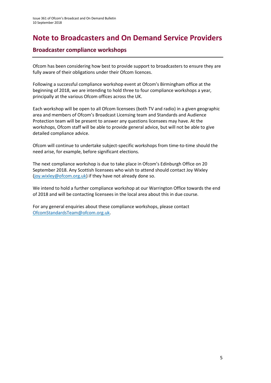### **Note to Broadcasters and On Demand Service Providers**

### **Broadcaster compliance workshops**

Ofcom has been considering how best to provide support to broadcasters to ensure they are fully aware of their obligations under their Ofcom licences.

Following a successful compliance workshop event at Ofcom's Birmingham office at the beginning of 2018, we are intending to hold three to four compliance workshops a year, principally at the various Ofcom offices across the UK.

Each workshop will be open to all Ofcom licensees (both TV and radio) in a given geographic area and members of Ofcom's Broadcast Licensing team and Standards and Audience Protection team will be present to answer any questions licensees may have. At the workshops, Ofcom staff will be able to provide general advice, but will not be able to give detailed compliance advice.

Ofcom will continue to undertake subject-specific workshops from time-to-time should the need arise, for example, before significant elections.

The next compliance workshop is due to take place in Ofcom's Edinburgh Office on 20 September 2018. Any Scottish licensees who wish to attend should contact Joy Wixley [\(joy.wixley@ofcom.org.uk\)](mailto:joy.wixley@ofcom.org.uk) if they have not already done so.

We intend to hold a further compliance workshop at our Warrington Office towards the end of 2018 and will be contacting licensees in the local area about this in due course.

For any general enquiries about these compliance workshops, please contact [OfcomStandardsTeam@ofcom.org.uk.](mailto:OfcomStandardsTeam@ofcom.org.uk)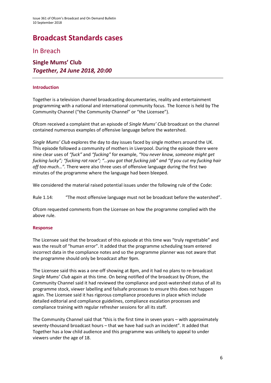# **Broadcast Standards cases**

In Breach

### **Single Mums' Club** *Together, 24 June 2018, 20:00*

#### **Introduction**

Together is a television channel broadcasting documentaries, reality and entertainment programming with a national and international community focus. The licence is held by The Community Channel ("the Community Channel" or "the Licensee").

Ofcom received a complaint that an episode of *Single Mums' Club* broadcast on the channel contained numerous examples of offensive language before the watershed.

*Single Mums' Club* explores the day to day issues faced by single mothers around the UK. This episode followed a community of mothers in Liverpool. During the episode there were nine clear uses of *"fuck"* and *"fucking"* for example, *"You never know, someone might get fucking lucky"; "fucking rat race"; "…you got that fucking job" and "If you cut my fucking hair off too much…".* There were also three uses of offensive language during the first two minutes of the programme where the language had been bleeped.

We considered the material raised potential issues under the following rule of the Code:

Rule 1.14: "The most offensive language must not be broadcast before the watershed".

Ofcom requested comments from the Licensee on how the programme complied with the above rule.

#### **Response**

The Licensee said that the broadcast of this episode at this time was "truly regrettable" and was the result of "human error". It added that the programme scheduling team entered incorrect data in the compliance notes and so the programme planner was not aware that the programme should only be broadcast after 9pm.

The Licensee said this was a one-off showing at 8pm, and it had no plans to re-broadcast *Single Mums' Club* again at this time. On being notified of the broadcast by Ofcom, the Community Channel said it had reviewed the compliance and post-watershed status of all its programme stock, viewer labelling and failsafe processes to ensure this does not happen again. The Licensee said it has rigorous compliance procedures in place which include detailed editorial and compliance guidelines, compliance escalation processes and compliance training with regular refresher sessions for all its staff.

The Community Channel said that "this is the first time in seven years – with approximately seventy-thousand broadcast hours – that we have had such an incident". It added that Together has a low child audience and this programme was unlikely to appeal to under viewers under the age of 18.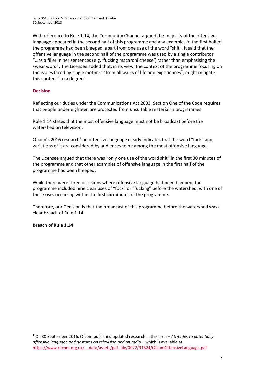With reference to Rule 1.14, the Community Channel argued the majority of the offensive language appeared in the second half of this programme and any examples in the first half of the programme had been bleeped, apart from one use of the word "shit". It said that the offensive language in the second half of the programme was used by a single contributor "…as a filler in her sentences (e.g. 'fucking macaroni cheese') rather than emphasising the swear word". The Licensee added that, in its view, the context of the programme focusing on the issues faced by single mothers "from all walks of life and experiences", might mitigate this content "to a degree".

#### **Decision**

Reflecting our duties under the Communications Act 2003, Section One of the Code requires that people under eighteen are protected from unsuitable material in programmes.

Rule 1.14 states that the most offensive language must not be broadcast before the watershed on television.

Ofcom's 2016 research<sup>1</sup> on offensive language clearly indicates that the word "fuck" and variations of it are considered by audiences to be among the most offensive language.

The Licensee argued that there was "only one use of the word shit" in the first 30 minutes of the programme and that other examples of offensive language in the first half of the programme had been bleeped.

While there were three occasions where offensive language had been bleeped, the programme included nine clear uses of "fuck" or "fucking" before the watershed, with one of these uses occurring within the first six minutes of the programme.

Therefore, our Decision is that the broadcast of this programme before the watershed was a clear breach of Rule 1.14.

#### **Breach of Rule 1.14**

**.** 

<sup>1</sup> On 30 September 2016, Ofcom published updated research in this area – *Attitudes to potentially offensive language and gestures on television and on radio – which is available at:* https://www.ofcom.org.uk/ data/assets/pdf\_file/0022/91624/OfcomOffensiveLanguage.pdf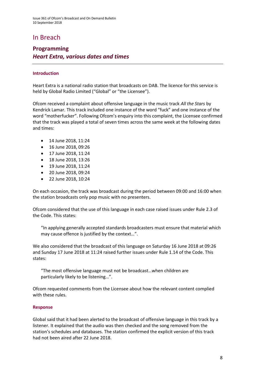### In Breach

### **Programming** *Heart Extra, various dates and times*

#### **Introduction**

Heart Extra is a national radio station that broadcasts on DAB. The licence for this service is held by Global Radio Limited ("Global" or "the Licensee").

Ofcom received a complaint about offensive language in the music track *All the Stars* by Kendrick Lamar. This track included one instance of the word "fuck" and one instance of the word "motherfucker". Following Ofcom's enquiry into this complaint, the Licensee confirmed that the track was played a total of seven times across the same week at the following dates and times:

- 14 June 2018, 11:24
- 16 June 2018, 09:26
- 17 June 2018, 11:24
- 18 June 2018, 13:26
- 19 June 2018, 11:24
- 20 June 2018, 09:24
- 22 June 2018, 10:24

On each occasion, the track was broadcast during the period between 09:00 and 16:00 when the station broadcasts only pop music with no presenters.

Ofcom considered that the use of this language in each case raised issues under Rule 2.3 of the Code. This states:

"In applying generally accepted standards broadcasters must ensure that material which may cause offence is justified by the context…".

We also considered that the broadcast of this language on Saturday 16 June 2018 at 09:26 and Sunday 17 June 2018 at 11:24 raised further issues under Rule 1.14 of the Code. This states:

"The most offensive language must not be broadcast…when children are particularly likely to be listening…".

Ofcom requested comments from the Licensee about how the relevant content complied with these rules.

#### **Response**

Global said that it had been alerted to the broadcast of offensive language in this track by a listener. It explained that the audio was then checked and the song removed from the station's schedules and databases. The station confirmed the explicit version of this track had not been aired after 22 June 2018.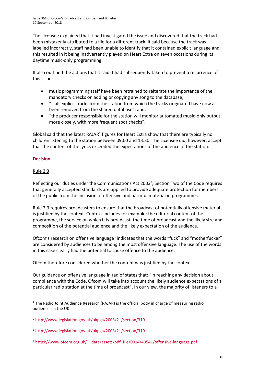The Licensee explained that it had investigated the issue and discovered that the track had been mistakenly attributed to a file for a different track. It said because the track was labelled incorrectly, staff had been unable to identify that it contained explicit language and this resulted in it being inadvertently played on Heart Extra on seven occasions during its daytime music-only programming.

It also outlined the actions that it said it had subsequently taken to prevent a recurrence of this issue:

- music programming staff have been retrained to reiterate the importance of the mandatory checks on adding or copying any song to the database;
- "…all explicit tracks from the station from which the tracks originated have now all been removed from the shared database"; and,
- "the producer responsible for the station will monitor automated music-only output more closely, with more frequent spot checks".

Global said that the latest RAJAR<sup>1</sup> figures for Heart Extra show that there are typically no children listening to the station between 09:00 and 13:30. The Licensee did, however, accept that the content of the lyrics exceeded the expectations of the audience of the station.

#### **Decision**

#### Rule 2.3

Reflecting our duties under the Communications Act 2003<sup>2</sup>, Section Two of the Code requires that generally accepted standards are applied to provide adequate protection for members of the public from the inclusion of offensive and harmful material in programmes.

Rule 2.3 requires broadcasters to ensure that the broadcast of potentially offensive material is justified by the context. Context includes for example: the editorial content of the programme, the service on which it is broadcast, the time of broadcast and the likely size and composition of the potential audience and the likely expectation of the audience.

Ofcom's research on offensive language<sup>3</sup> indicates that the words "fuck" and "motherfucker" are considered by audiences to be among the most offensive language. The use of the words in this case clearly had the potential to cause offence to the audience.

Ofcom therefore considered whether the content was justified by the context.

Our guidance on offensive language in radio<sup>4</sup> states that: "In reaching any decision about compliance with the Code, Ofcom will take into account the likely audience expectations of a particular radio station at the time of broadcast". In our view, the majority of listeners to a

 $\overline{\phantom{a}}$ <sup>1</sup> The Radio Joint Audience Research (RAJAR) is the official body in charge of measuring radio audiences in the UK.

<sup>2</sup> <http://www.legislation.gov.uk/ukpga/2003/21/section/319>

<sup>3</sup> <http://www.legislation.gov.uk/ukpga/2003/21/section/319>

<sup>&</sup>lt;sup>4</sup> https://www.ofcom.org.uk/ data/assets/pdf file/0014/40541/offensive-language.pdf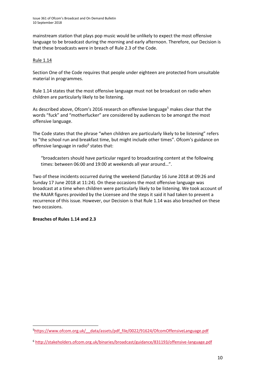mainstream station that plays pop music would be unlikely to expect the most offensive language to be broadcast during the morning and early afternoon. Therefore, our Decision is that these broadcasts were in breach of Rule 2.3 of the Code.

#### Rule 1.14

Section One of the Code requires that people under eighteen are protected from unsuitable material in programmes.

Rule 1.14 states that the most offensive language must not be broadcast on radio when children are particularly likely to be listening.

As described above, Ofcom's 2016 research on offensive language<sup>5</sup> makes clear that the words "fuck" and "motherfucker" are considered by audiences to be amongst the most offensive language.

The Code states that the phrase "when children are particularly likely to be listening" refers to "the school run and breakfast time, but might include other times". Ofcom's guidance on offensive language in radio<sup>6</sup> states that:

"broadcasters should have particular regard to broadcasting content at the following times: between 06:00 and 19:00 at weekends all year around…".

Two of these incidents occurred during the weekend (Saturday 16 June 2018 at 09:26 and Sunday 17 June 2018 at 11:24). On these occasions the most offensive language was broadcast at a time when children were particularly likely to be listening. We took account of the RAJAR figures provided by the Licensee and the steps it said it had taken to prevent a recurrence of this issue. However, our Decision is that Rule 1.14 was also breached on these two occasions.

#### **Breaches of Rules 1.14 and 2.3**

1

<sup>5</sup>[https://www.ofcom.org.uk/\\_\\_data/assets/pdf\\_file/0022/91624/OfcomOffensiveLanguage.pdf](https://www.ofcom.org.uk/__data/assets/pdf_file/0022/91624/OfcomOffensiveLanguage.pdf)

<sup>6</sup> <http://stakeholders.ofcom.org.uk/binaries/broadcast/guidance/831193/offensive-language.pdf>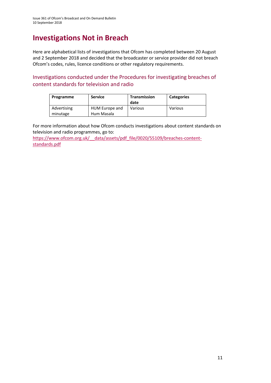# **Investigations Not in Breach**

Here are alphabetical lists of investigations that Ofcom has completed between 20 August and 2 September 2018 and decided that the broadcaster or service provider did not breach Ofcom's codes, rules, licence conditions or other regulatory requirements.

Investigations conducted under the Procedures for investigating breaches of content standards for television and radio

| Programme               | <b>Service</b>               | <b>Transmission</b><br>date | <b>Categories</b> |
|-------------------------|------------------------------|-----------------------------|-------------------|
| Advertising<br>minutage | HUM Europe and<br>Hum Masala | Various                     | Various           |

For more information about how Ofcom conducts investigations about content standards on television and radio programmes, go to:

https://www.ofcom.org.uk/ data/assets/pdf\_file/0020/55109/breaches-content[standards.pdf](https://www.ofcom.org.uk/__data/assets/pdf_file/0020/55109/breaches-content-standards.pdf)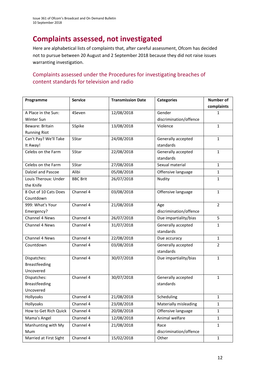# **Complaints assessed, not investigated**

Here are alphabetical lists of complaints that, after careful assessment, Ofcom has decided not to pursue between 20 August and 2 September 2018 because they did not raise issues warranting investigation.

### Complaints assessed under the Procedures for investigating breaches of content standards for television and radio

| Programme              | <b>Service</b>  | <b>Transmission Date</b> | <b>Categories</b>      | <b>Number of</b> |
|------------------------|-----------------|--------------------------|------------------------|------------------|
|                        |                 |                          |                        | complaints       |
| A Place in the Sun:    | 4Seven          | 12/08/2018               | Gender                 | $\mathbf{1}$     |
| Winter Sun             |                 |                          | discrimination/offence |                  |
| Beware: Britain        | 5Spike          | 13/08/2018               | Violence               | $\mathbf{1}$     |
| <b>Running Riot</b>    |                 |                          |                        |                  |
| Can't Pay? We'll Take  | 5Star           | 24/08/2018               | Generally accepted     | $\mathbf{1}$     |
| It Away!               |                 |                          | standards              |                  |
| Celebs on the Farm     | 5Star           | 22/08/2018               | Generally accepted     | $\mathbf{1}$     |
|                        |                 |                          | standards              |                  |
| Celebs on the Farm     | 5Star           | 27/08/2018               | Sexual material        | $\mathbf{1}$     |
| Dalziel and Pascoe     | Alibi           | 05/08/2018               | Offensive language     | $\mathbf{1}$     |
| Louis Theroux: Under   | <b>BBC Brit</b> | 26/07/2018               | Nudity                 | $\mathbf{1}$     |
| the Knife              |                 |                          |                        |                  |
| 8 Out of 10 Cats Does  | Channel 4       | 03/08/2018               | Offensive language     | $\mathbf{1}$     |
| Countdown              |                 |                          |                        |                  |
| 999: What's Your       | Channel 4       | 21/08/2018               | Age                    | $\overline{2}$   |
| Emergency?             |                 |                          | discrimination/offence |                  |
| <b>Channel 4 News</b>  | Channel 4       | 26/07/2018               | Due impartiality/bias  | 5                |
| <b>Channel 4 News</b>  | Channel 4       | 31/07/2018               | Generally accepted     | $\mathbf{1}$     |
|                        |                 |                          | standards              |                  |
| Channel 4 News         | Channel 4       | 22/08/2018               | Due accuracy           | $\mathbf{1}$     |
| Countdown              | Channel 4       | 03/08/2018               | Generally accepted     | $\overline{2}$   |
|                        |                 |                          | standards              |                  |
| Dispatches:            | Channel 4       | 30/07/2018               | Due impartiality/bias  | $\mathbf{1}$     |
| <b>Breastfeeding</b>   |                 |                          |                        |                  |
| Uncovered              |                 |                          |                        |                  |
| Dispatches:            | Channel 4       | 30/07/2018               | Generally accepted     | $\mathbf{1}$     |
| <b>Breastfeeding</b>   |                 |                          | standards              |                  |
| Uncovered              |                 |                          |                        |                  |
| Hollyoaks              | Channel 4       | 21/08/2018               | Scheduling             | $\mathbf{1}$     |
| Hollyoaks              | Channel 4       | 23/08/2018               | Materially misleading  | $\mathbf{1}$     |
| How to Get Rich Quick  | Channel 4       | 20/08/2018               | Offensive language     | $\mathbf{1}$     |
| Mama's Angel           | Channel 4       | 12/08/2018               | Animal welfare         | $\mathbf{1}$     |
| Manhunting with My     | Channel 4       | 21/08/2018               | Race                   | $\mathbf{1}$     |
| Mum                    |                 |                          | discrimination/offence |                  |
| Married at First Sight | Channel 4       | 15/02/2018               | Other                  | $\mathbf{1}$     |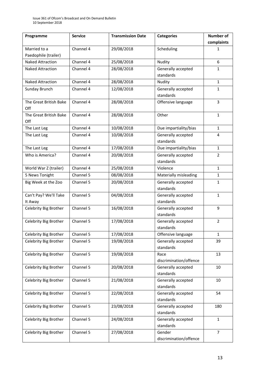| complaints<br>Channel 4<br>29/08/2018<br>Scheduling<br>Married to a<br>1<br>Paedophile (trailer)<br>Channel 4<br>25/08/2018<br><b>Naked Attraction</b><br>Nudity<br>6<br>Channel 4<br>28/08/2018<br>Generally accepted<br><b>Naked Attraction</b><br>$\mathbf{1}$<br>standards<br>Channel 4<br>28/08/2018<br><b>Naked Attraction</b><br>Nudity<br>$\mathbf{1}$<br>Channel 4<br>12/08/2018<br>Generally accepted<br>Sunday Brunch<br>$\mathbf{1}$<br>standards<br>$\overline{3}$<br>Channel 4<br>28/08/2018<br>The Great British Bake<br>Offensive language<br>Off<br>Channel 4<br>The Great British Bake<br>28/08/2018<br>Other<br>$\mathbf{1}$<br>Off<br>Channel 4<br>10/08/2018<br>Due impartiality/bias<br>The Last Leg<br>$\mathbf{1}$<br>10/08/2018<br>Generally accepted<br>Channel 4<br>The Last Leg<br>4<br>standards<br>Channel 4<br>17/08/2018<br>The Last Leg<br>Due impartiality/bias<br>$\mathbf{1}$<br>Channel 4<br>$\overline{2}$<br>Who is America?<br>20/08/2018<br>Generally accepted<br>standards<br>Channel 4<br>25/08/2018<br>World War Z (trailer)<br>Violence<br>$\mathbf{1}$<br>5 News Tonight<br>Channel 5<br>08/08/2018<br>Materially misleading<br>$\mathbf{1}$<br>Channel 5<br>Generally accepted<br>20/08/2018<br>Big Week at the Zoo<br>$\mathbf{1}$<br>standards<br>Can't Pay? We'll Take<br>Channel 5<br>04/08/2018<br>Generally accepted<br>$\mathbf{1}$<br>standards<br>It Away<br>Channel 5<br>Celebrity Big Brother<br>16/08/2018<br>Generally accepted<br>9<br>standards<br>Channel 5<br>17/08/2018<br>Celebrity Big Brother<br>$\overline{2}$<br>Generally accepted<br>standards<br>Channel 5<br>17/08/2018<br>Celebrity Big Brother<br>Offensive language<br>1<br>19/08/2018<br>Celebrity Big Brother<br>Channel 5<br>Generally accepted<br>39<br>standards<br>Channel 5<br>19/08/2018<br>Celebrity Big Brother<br>Race<br>13<br>discrimination/offence<br>Channel 5<br>20/08/2018<br>Celebrity Big Brother<br>Generally accepted<br>10<br>standards<br>Channel 5<br>21/08/2018<br>Celebrity Big Brother<br>Generally accepted<br>10<br>standards<br>Channel 5<br>22/08/2018<br>Celebrity Big Brother<br>Generally accepted<br>54<br>standards<br>Channel 5<br>23/08/2018<br>Celebrity Big Brother<br>Generally accepted<br>180<br>standards | Programme | <b>Service</b> | <b>Transmission Date</b> | <b>Categories</b> | <b>Number of</b> |
|-------------------------------------------------------------------------------------------------------------------------------------------------------------------------------------------------------------------------------------------------------------------------------------------------------------------------------------------------------------------------------------------------------------------------------------------------------------------------------------------------------------------------------------------------------------------------------------------------------------------------------------------------------------------------------------------------------------------------------------------------------------------------------------------------------------------------------------------------------------------------------------------------------------------------------------------------------------------------------------------------------------------------------------------------------------------------------------------------------------------------------------------------------------------------------------------------------------------------------------------------------------------------------------------------------------------------------------------------------------------------------------------------------------------------------------------------------------------------------------------------------------------------------------------------------------------------------------------------------------------------------------------------------------------------------------------------------------------------------------------------------------------------------------------------------------------------------------------------------------------------------------------------------------------------------------------------------------------------------------------------------------------------------------------------------------------------------------------------------------------------------------------------------------------------------------------------------------------------------------------------------------------------------------|-----------|----------------|--------------------------|-------------------|------------------|
|                                                                                                                                                                                                                                                                                                                                                                                                                                                                                                                                                                                                                                                                                                                                                                                                                                                                                                                                                                                                                                                                                                                                                                                                                                                                                                                                                                                                                                                                                                                                                                                                                                                                                                                                                                                                                                                                                                                                                                                                                                                                                                                                                                                                                                                                                     |           |                |                          |                   |                  |
|                                                                                                                                                                                                                                                                                                                                                                                                                                                                                                                                                                                                                                                                                                                                                                                                                                                                                                                                                                                                                                                                                                                                                                                                                                                                                                                                                                                                                                                                                                                                                                                                                                                                                                                                                                                                                                                                                                                                                                                                                                                                                                                                                                                                                                                                                     |           |                |                          |                   |                  |
|                                                                                                                                                                                                                                                                                                                                                                                                                                                                                                                                                                                                                                                                                                                                                                                                                                                                                                                                                                                                                                                                                                                                                                                                                                                                                                                                                                                                                                                                                                                                                                                                                                                                                                                                                                                                                                                                                                                                                                                                                                                                                                                                                                                                                                                                                     |           |                |                          |                   |                  |
|                                                                                                                                                                                                                                                                                                                                                                                                                                                                                                                                                                                                                                                                                                                                                                                                                                                                                                                                                                                                                                                                                                                                                                                                                                                                                                                                                                                                                                                                                                                                                                                                                                                                                                                                                                                                                                                                                                                                                                                                                                                                                                                                                                                                                                                                                     |           |                |                          |                   |                  |
|                                                                                                                                                                                                                                                                                                                                                                                                                                                                                                                                                                                                                                                                                                                                                                                                                                                                                                                                                                                                                                                                                                                                                                                                                                                                                                                                                                                                                                                                                                                                                                                                                                                                                                                                                                                                                                                                                                                                                                                                                                                                                                                                                                                                                                                                                     |           |                |                          |                   |                  |
|                                                                                                                                                                                                                                                                                                                                                                                                                                                                                                                                                                                                                                                                                                                                                                                                                                                                                                                                                                                                                                                                                                                                                                                                                                                                                                                                                                                                                                                                                                                                                                                                                                                                                                                                                                                                                                                                                                                                                                                                                                                                                                                                                                                                                                                                                     |           |                |                          |                   |                  |
|                                                                                                                                                                                                                                                                                                                                                                                                                                                                                                                                                                                                                                                                                                                                                                                                                                                                                                                                                                                                                                                                                                                                                                                                                                                                                                                                                                                                                                                                                                                                                                                                                                                                                                                                                                                                                                                                                                                                                                                                                                                                                                                                                                                                                                                                                     |           |                |                          |                   |                  |
|                                                                                                                                                                                                                                                                                                                                                                                                                                                                                                                                                                                                                                                                                                                                                                                                                                                                                                                                                                                                                                                                                                                                                                                                                                                                                                                                                                                                                                                                                                                                                                                                                                                                                                                                                                                                                                                                                                                                                                                                                                                                                                                                                                                                                                                                                     |           |                |                          |                   |                  |
|                                                                                                                                                                                                                                                                                                                                                                                                                                                                                                                                                                                                                                                                                                                                                                                                                                                                                                                                                                                                                                                                                                                                                                                                                                                                                                                                                                                                                                                                                                                                                                                                                                                                                                                                                                                                                                                                                                                                                                                                                                                                                                                                                                                                                                                                                     |           |                |                          |                   |                  |
|                                                                                                                                                                                                                                                                                                                                                                                                                                                                                                                                                                                                                                                                                                                                                                                                                                                                                                                                                                                                                                                                                                                                                                                                                                                                                                                                                                                                                                                                                                                                                                                                                                                                                                                                                                                                                                                                                                                                                                                                                                                                                                                                                                                                                                                                                     |           |                |                          |                   |                  |
|                                                                                                                                                                                                                                                                                                                                                                                                                                                                                                                                                                                                                                                                                                                                                                                                                                                                                                                                                                                                                                                                                                                                                                                                                                                                                                                                                                                                                                                                                                                                                                                                                                                                                                                                                                                                                                                                                                                                                                                                                                                                                                                                                                                                                                                                                     |           |                |                          |                   |                  |
|                                                                                                                                                                                                                                                                                                                                                                                                                                                                                                                                                                                                                                                                                                                                                                                                                                                                                                                                                                                                                                                                                                                                                                                                                                                                                                                                                                                                                                                                                                                                                                                                                                                                                                                                                                                                                                                                                                                                                                                                                                                                                                                                                                                                                                                                                     |           |                |                          |                   |                  |
|                                                                                                                                                                                                                                                                                                                                                                                                                                                                                                                                                                                                                                                                                                                                                                                                                                                                                                                                                                                                                                                                                                                                                                                                                                                                                                                                                                                                                                                                                                                                                                                                                                                                                                                                                                                                                                                                                                                                                                                                                                                                                                                                                                                                                                                                                     |           |                |                          |                   |                  |
|                                                                                                                                                                                                                                                                                                                                                                                                                                                                                                                                                                                                                                                                                                                                                                                                                                                                                                                                                                                                                                                                                                                                                                                                                                                                                                                                                                                                                                                                                                                                                                                                                                                                                                                                                                                                                                                                                                                                                                                                                                                                                                                                                                                                                                                                                     |           |                |                          |                   |                  |
|                                                                                                                                                                                                                                                                                                                                                                                                                                                                                                                                                                                                                                                                                                                                                                                                                                                                                                                                                                                                                                                                                                                                                                                                                                                                                                                                                                                                                                                                                                                                                                                                                                                                                                                                                                                                                                                                                                                                                                                                                                                                                                                                                                                                                                                                                     |           |                |                          |                   |                  |
|                                                                                                                                                                                                                                                                                                                                                                                                                                                                                                                                                                                                                                                                                                                                                                                                                                                                                                                                                                                                                                                                                                                                                                                                                                                                                                                                                                                                                                                                                                                                                                                                                                                                                                                                                                                                                                                                                                                                                                                                                                                                                                                                                                                                                                                                                     |           |                |                          |                   |                  |
|                                                                                                                                                                                                                                                                                                                                                                                                                                                                                                                                                                                                                                                                                                                                                                                                                                                                                                                                                                                                                                                                                                                                                                                                                                                                                                                                                                                                                                                                                                                                                                                                                                                                                                                                                                                                                                                                                                                                                                                                                                                                                                                                                                                                                                                                                     |           |                |                          |                   |                  |
|                                                                                                                                                                                                                                                                                                                                                                                                                                                                                                                                                                                                                                                                                                                                                                                                                                                                                                                                                                                                                                                                                                                                                                                                                                                                                                                                                                                                                                                                                                                                                                                                                                                                                                                                                                                                                                                                                                                                                                                                                                                                                                                                                                                                                                                                                     |           |                |                          |                   |                  |
|                                                                                                                                                                                                                                                                                                                                                                                                                                                                                                                                                                                                                                                                                                                                                                                                                                                                                                                                                                                                                                                                                                                                                                                                                                                                                                                                                                                                                                                                                                                                                                                                                                                                                                                                                                                                                                                                                                                                                                                                                                                                                                                                                                                                                                                                                     |           |                |                          |                   |                  |
|                                                                                                                                                                                                                                                                                                                                                                                                                                                                                                                                                                                                                                                                                                                                                                                                                                                                                                                                                                                                                                                                                                                                                                                                                                                                                                                                                                                                                                                                                                                                                                                                                                                                                                                                                                                                                                                                                                                                                                                                                                                                                                                                                                                                                                                                                     |           |                |                          |                   |                  |
|                                                                                                                                                                                                                                                                                                                                                                                                                                                                                                                                                                                                                                                                                                                                                                                                                                                                                                                                                                                                                                                                                                                                                                                                                                                                                                                                                                                                                                                                                                                                                                                                                                                                                                                                                                                                                                                                                                                                                                                                                                                                                                                                                                                                                                                                                     |           |                |                          |                   |                  |
|                                                                                                                                                                                                                                                                                                                                                                                                                                                                                                                                                                                                                                                                                                                                                                                                                                                                                                                                                                                                                                                                                                                                                                                                                                                                                                                                                                                                                                                                                                                                                                                                                                                                                                                                                                                                                                                                                                                                                                                                                                                                                                                                                                                                                                                                                     |           |                |                          |                   |                  |
|                                                                                                                                                                                                                                                                                                                                                                                                                                                                                                                                                                                                                                                                                                                                                                                                                                                                                                                                                                                                                                                                                                                                                                                                                                                                                                                                                                                                                                                                                                                                                                                                                                                                                                                                                                                                                                                                                                                                                                                                                                                                                                                                                                                                                                                                                     |           |                |                          |                   |                  |
|                                                                                                                                                                                                                                                                                                                                                                                                                                                                                                                                                                                                                                                                                                                                                                                                                                                                                                                                                                                                                                                                                                                                                                                                                                                                                                                                                                                                                                                                                                                                                                                                                                                                                                                                                                                                                                                                                                                                                                                                                                                                                                                                                                                                                                                                                     |           |                |                          |                   |                  |
|                                                                                                                                                                                                                                                                                                                                                                                                                                                                                                                                                                                                                                                                                                                                                                                                                                                                                                                                                                                                                                                                                                                                                                                                                                                                                                                                                                                                                                                                                                                                                                                                                                                                                                                                                                                                                                                                                                                                                                                                                                                                                                                                                                                                                                                                                     |           |                |                          |                   |                  |
|                                                                                                                                                                                                                                                                                                                                                                                                                                                                                                                                                                                                                                                                                                                                                                                                                                                                                                                                                                                                                                                                                                                                                                                                                                                                                                                                                                                                                                                                                                                                                                                                                                                                                                                                                                                                                                                                                                                                                                                                                                                                                                                                                                                                                                                                                     |           |                |                          |                   |                  |
|                                                                                                                                                                                                                                                                                                                                                                                                                                                                                                                                                                                                                                                                                                                                                                                                                                                                                                                                                                                                                                                                                                                                                                                                                                                                                                                                                                                                                                                                                                                                                                                                                                                                                                                                                                                                                                                                                                                                                                                                                                                                                                                                                                                                                                                                                     |           |                |                          |                   |                  |
|                                                                                                                                                                                                                                                                                                                                                                                                                                                                                                                                                                                                                                                                                                                                                                                                                                                                                                                                                                                                                                                                                                                                                                                                                                                                                                                                                                                                                                                                                                                                                                                                                                                                                                                                                                                                                                                                                                                                                                                                                                                                                                                                                                                                                                                                                     |           |                |                          |                   |                  |
|                                                                                                                                                                                                                                                                                                                                                                                                                                                                                                                                                                                                                                                                                                                                                                                                                                                                                                                                                                                                                                                                                                                                                                                                                                                                                                                                                                                                                                                                                                                                                                                                                                                                                                                                                                                                                                                                                                                                                                                                                                                                                                                                                                                                                                                                                     |           |                |                          |                   |                  |
|                                                                                                                                                                                                                                                                                                                                                                                                                                                                                                                                                                                                                                                                                                                                                                                                                                                                                                                                                                                                                                                                                                                                                                                                                                                                                                                                                                                                                                                                                                                                                                                                                                                                                                                                                                                                                                                                                                                                                                                                                                                                                                                                                                                                                                                                                     |           |                |                          |                   |                  |
|                                                                                                                                                                                                                                                                                                                                                                                                                                                                                                                                                                                                                                                                                                                                                                                                                                                                                                                                                                                                                                                                                                                                                                                                                                                                                                                                                                                                                                                                                                                                                                                                                                                                                                                                                                                                                                                                                                                                                                                                                                                                                                                                                                                                                                                                                     |           |                |                          |                   |                  |
|                                                                                                                                                                                                                                                                                                                                                                                                                                                                                                                                                                                                                                                                                                                                                                                                                                                                                                                                                                                                                                                                                                                                                                                                                                                                                                                                                                                                                                                                                                                                                                                                                                                                                                                                                                                                                                                                                                                                                                                                                                                                                                                                                                                                                                                                                     |           |                |                          |                   |                  |
|                                                                                                                                                                                                                                                                                                                                                                                                                                                                                                                                                                                                                                                                                                                                                                                                                                                                                                                                                                                                                                                                                                                                                                                                                                                                                                                                                                                                                                                                                                                                                                                                                                                                                                                                                                                                                                                                                                                                                                                                                                                                                                                                                                                                                                                                                     |           |                |                          |                   |                  |
|                                                                                                                                                                                                                                                                                                                                                                                                                                                                                                                                                                                                                                                                                                                                                                                                                                                                                                                                                                                                                                                                                                                                                                                                                                                                                                                                                                                                                                                                                                                                                                                                                                                                                                                                                                                                                                                                                                                                                                                                                                                                                                                                                                                                                                                                                     |           |                |                          |                   |                  |
|                                                                                                                                                                                                                                                                                                                                                                                                                                                                                                                                                                                                                                                                                                                                                                                                                                                                                                                                                                                                                                                                                                                                                                                                                                                                                                                                                                                                                                                                                                                                                                                                                                                                                                                                                                                                                                                                                                                                                                                                                                                                                                                                                                                                                                                                                     |           |                |                          |                   |                  |
|                                                                                                                                                                                                                                                                                                                                                                                                                                                                                                                                                                                                                                                                                                                                                                                                                                                                                                                                                                                                                                                                                                                                                                                                                                                                                                                                                                                                                                                                                                                                                                                                                                                                                                                                                                                                                                                                                                                                                                                                                                                                                                                                                                                                                                                                                     |           |                |                          |                   |                  |
|                                                                                                                                                                                                                                                                                                                                                                                                                                                                                                                                                                                                                                                                                                                                                                                                                                                                                                                                                                                                                                                                                                                                                                                                                                                                                                                                                                                                                                                                                                                                                                                                                                                                                                                                                                                                                                                                                                                                                                                                                                                                                                                                                                                                                                                                                     |           |                |                          |                   |                  |
|                                                                                                                                                                                                                                                                                                                                                                                                                                                                                                                                                                                                                                                                                                                                                                                                                                                                                                                                                                                                                                                                                                                                                                                                                                                                                                                                                                                                                                                                                                                                                                                                                                                                                                                                                                                                                                                                                                                                                                                                                                                                                                                                                                                                                                                                                     |           |                |                          |                   |                  |
|                                                                                                                                                                                                                                                                                                                                                                                                                                                                                                                                                                                                                                                                                                                                                                                                                                                                                                                                                                                                                                                                                                                                                                                                                                                                                                                                                                                                                                                                                                                                                                                                                                                                                                                                                                                                                                                                                                                                                                                                                                                                                                                                                                                                                                                                                     |           |                |                          |                   |                  |
|                                                                                                                                                                                                                                                                                                                                                                                                                                                                                                                                                                                                                                                                                                                                                                                                                                                                                                                                                                                                                                                                                                                                                                                                                                                                                                                                                                                                                                                                                                                                                                                                                                                                                                                                                                                                                                                                                                                                                                                                                                                                                                                                                                                                                                                                                     |           |                |                          |                   |                  |
| Channel 5<br>24/08/2018<br>Celebrity Big Brother<br>Generally accepted<br>$\mathbf{1}$                                                                                                                                                                                                                                                                                                                                                                                                                                                                                                                                                                                                                                                                                                                                                                                                                                                                                                                                                                                                                                                                                                                                                                                                                                                                                                                                                                                                                                                                                                                                                                                                                                                                                                                                                                                                                                                                                                                                                                                                                                                                                                                                                                                              |           |                |                          |                   |                  |
| standards                                                                                                                                                                                                                                                                                                                                                                                                                                                                                                                                                                                                                                                                                                                                                                                                                                                                                                                                                                                                                                                                                                                                                                                                                                                                                                                                                                                                                                                                                                                                                                                                                                                                                                                                                                                                                                                                                                                                                                                                                                                                                                                                                                                                                                                                           |           |                |                          |                   |                  |
| Channel 5<br>27/08/2018<br>Celebrity Big Brother<br>$\overline{7}$<br>Gender                                                                                                                                                                                                                                                                                                                                                                                                                                                                                                                                                                                                                                                                                                                                                                                                                                                                                                                                                                                                                                                                                                                                                                                                                                                                                                                                                                                                                                                                                                                                                                                                                                                                                                                                                                                                                                                                                                                                                                                                                                                                                                                                                                                                        |           |                |                          |                   |                  |
| discrimination/offence                                                                                                                                                                                                                                                                                                                                                                                                                                                                                                                                                                                                                                                                                                                                                                                                                                                                                                                                                                                                                                                                                                                                                                                                                                                                                                                                                                                                                                                                                                                                                                                                                                                                                                                                                                                                                                                                                                                                                                                                                                                                                                                                                                                                                                                              |           |                |                          |                   |                  |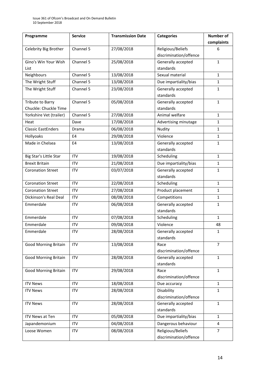| Programme                   | <b>Service</b> | <b>Transmission Date</b> | <b>Categories</b>                     | Number of      |
|-----------------------------|----------------|--------------------------|---------------------------------------|----------------|
|                             |                |                          |                                       | complaints     |
| Celebrity Big Brother       | Channel 5      | 27/08/2018               | Religious/Beliefs                     | 6              |
|                             |                |                          | discrimination/offence                |                |
| Gino's Win Your Wish        | Channel 5      | 25/08/2018               | Generally accepted                    | $\mathbf{1}$   |
| List                        |                |                          | standards                             |                |
| Neighbours                  | Channel 5      | 13/08/2018               | Sexual material                       | $\mathbf{1}$   |
| The Wright Stuff            | Channel 5      | 13/08/2018               | Due impartiality/bias                 | 1              |
| The Wright Stuff            | Channel 5      | 23/08/2018               | Generally accepted<br>standards       | $\mathbf{1}$   |
| Tribute to Barry            | Channel 5      | 05/08/2018               | Generally accepted                    | $\mathbf{1}$   |
| Chuckle: Chuckle Time       |                |                          | standards                             |                |
| Yorkshire Vet (trailer)     | Channel 5      | 27/08/2018               | Animal welfare                        | $\mathbf{1}$   |
| Heat                        | Dave           | 17/08/2018               | Advertising minutage                  | $\mathbf{1}$   |
| <b>Classic EastEnders</b>   | Drama          | 06/08/2018               | Nudity                                | 1              |
| Hollyoaks                   | E <sub>4</sub> | 29/08/2018               | Violence                              | $\mathbf{1}$   |
| Made in Chelsea             | E4             | 13/08/2018               | Generally accepted<br>standards       | 1              |
| Big Star's Little Star      | <b>ITV</b>     | 19/08/2018               | Scheduling                            | 1              |
| <b>Brexit Britain</b>       | <b>ITV</b>     | 21/08/2018               | Due impartiality/bias                 | $\mathbf{1}$   |
| <b>Coronation Street</b>    | <b>ITV</b>     | 03/07/2018               | Generally accepted                    | 1              |
|                             |                |                          | standards                             |                |
| <b>Coronation Street</b>    | <b>ITV</b>     | 22/08/2018               | Scheduling                            | $\mathbf{1}$   |
| <b>Coronation Street</b>    | <b>ITV</b>     | 27/08/2018               | Product placement                     | $\mathbf{1}$   |
| Dickinson's Real Deal       | <b>ITV</b>     | 08/08/2018               | Competitions                          | 1              |
| Emmerdale                   | <b>ITV</b>     | 06/08/2018               | Generally accepted                    | $\mathbf{1}$   |
|                             |                |                          | standards                             |                |
| Emmerdale                   | <b>ITV</b>     | 07/08/2018               | Scheduling                            | $\mathbf{1}$   |
| Emmerdale                   | <b>ITV</b>     | 09/08/2018               | Violence                              | 48             |
| Emmerdale                   | <b>ITV</b>     | 28/08/2018               | Generally accepted<br>standards       | $\mathbf 1$    |
| <b>Good Morning Britain</b> | <b>ITV</b>     | 13/08/2018               | Race                                  | $\overline{7}$ |
|                             |                |                          | discrimination/offence                |                |
| <b>Good Morning Britain</b> | <b>ITV</b>     | 28/08/2018               | Generally accepted<br>standards       | $\mathbf{1}$   |
| <b>Good Morning Britain</b> | <b>ITV</b>     | 29/08/2018               | Race<br>discrimination/offence        | $\mathbf{1}$   |
| <b>ITV News</b>             | <b>ITV</b>     | 18/08/2018               | Due accuracy                          | $\mathbf{1}$   |
| <b>ITV News</b>             | <b>ITV</b>     | 28/08/2018               | Disability<br>discrimination/offence  | $\mathbf{1}$   |
| <b>ITV News</b>             | <b>ITV</b>     | 28/08/2018               | Generally accepted                    | $\mathbf{1}$   |
|                             |                |                          | standards                             |                |
| <b>ITV News at Ten</b>      | <b>ITV</b>     | 05/08/2018               | Due impartiality/bias<br>$\mathbf{1}$ |                |
| Japandemonium               | <b>ITV</b>     | 04/08/2018               | Dangerous behaviour<br>4              |                |
| Loose Women                 | <b>ITV</b>     | 08/08/2018               | Religious/Beliefs                     | $\overline{7}$ |
|                             |                |                          | discrimination/offence                |                |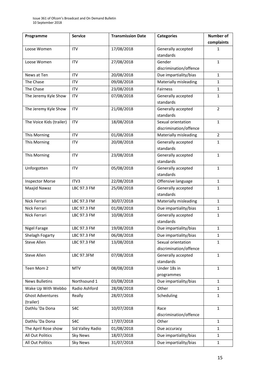| complaints<br>17/08/2018<br>Generally accepted<br><b>ITV</b><br>Loose Women<br>1<br>standards<br>27/08/2018<br>$\mathbf{1}$<br><b>ITV</b><br>Gender<br>Loose Women<br>discrimination/offence<br>20/08/2018<br>Due impartiality/bias<br><b>ITV</b><br>News at Ten<br>$\mathbf{1}$<br>The Chase<br>09/08/2018<br>Materially misleading<br>$\mathbf{1}$<br><b>ITV</b><br>The Chase<br>23/08/2018<br>Fairness<br><b>ITV</b><br>$\mathbf{1}$<br>07/08/2018<br>The Jeremy Kyle Show<br>Generally accepted<br><b>ITV</b><br>$\mathbf{1}$<br>standards<br>The Jeremy Kyle Show<br>21/08/2018<br>Generally accepted<br>$\overline{2}$<br><b>ITV</b><br>standards<br>18/08/2018<br>The Voice Kids (trailer)<br><b>ITV</b><br>Sexual orientation<br>$\mathbf{1}$<br>discrimination/offence<br>01/08/2018<br>Materially misleading<br>This Morning<br><b>ITV</b><br>$\overline{2}$<br>20/08/2018<br>Generally accepted<br>$\mathbf{1}$<br>This Morning<br><b>ITV</b><br>standards<br>23/08/2018<br>This Morning<br><b>ITV</b><br>Generally accepted<br>$\mathbf{1}$<br>standards<br>05/08/2018<br><b>ITV</b><br>Generally accepted<br>$\mathbf{1}$<br>Unforgotten<br>standards<br>22/08/2018<br>ITV3<br>Offensive language<br><b>Inspector Morse</b><br>$\mathbf{1}$<br>25/08/2018<br>Generally accepted<br>Maajid Nawaz<br>LBC 97.3 FM<br>$\mathbf{1}$<br>standards<br>Nick Ferrari<br>LBC 97.3 FM<br>30/07/2018<br>Materially misleading<br>$\mathbf{1}$<br>Due impartiality/bias<br>Nick Ferrari<br>LBC 97.3 FM<br>01/08/2018<br>$\mathbf{1}$<br>Nick Ferrari<br>10/08/2018<br>Generally accepted<br>$\mathbf{1}$<br>LBC 97.3 FM<br>standards<br>19/08/2018<br>$\mathbf{1}$<br>LBC 97.3 FM<br>Due impartiality/bias<br><b>Nigel Farage</b><br>06/08/2018<br>Due impartiality/bias<br>Shelagh Fogarty<br>LBC 97.3 FM<br>1<br>13/08/2018<br>Sexual orientation<br>$\mathbf{1}$<br>Steve Allen<br>LBC 97.3 FM<br>discrimination/offence<br>07/08/2018<br>Steve Allen<br>Generally accepted<br>$\mathbf{1}$<br>LBC 97.3FM<br>standards<br>08/08/2018<br>Teen Mom 2<br><b>MTV</b><br>Under 18s in<br>$\mathbf{1}$<br>programmes<br>Northsound 1<br>03/08/2018<br>Due impartiality/bias<br><b>News Bulletins</b><br>$\mathbf{1}$<br>Radio Ashford<br>28/08/2018<br>Other<br>Wake Up With Webbo<br>$\mathbf{1}$<br><b>Ghost Adventures</b><br>28/07/2018<br>Scheduling<br>$\mathbf{1}$<br>Really<br>(trailer)<br>Dathlu 'Da Dona<br>10/07/2018<br>$\mathbf{1}$<br>S4C<br>Race<br>discrimination/offence<br>17/07/2018<br>Dathlu 'Da Dona<br>S4C<br>Other<br>$\mathbf{1}$<br>01/08/2018<br>The April Rose show<br>Sid Valley Radio<br>Due accuracy<br>$\mathbf{1}$<br>All Out Politics<br><b>Sky News</b><br>18/07/2018<br>Due impartiality/bias<br>1 | Programme | <b>Service</b> | <b>Transmission Date</b> | <b>Categories</b> | Number of |
|--------------------------------------------------------------------------------------------------------------------------------------------------------------------------------------------------------------------------------------------------------------------------------------------------------------------------------------------------------------------------------------------------------------------------------------------------------------------------------------------------------------------------------------------------------------------------------------------------------------------------------------------------------------------------------------------------------------------------------------------------------------------------------------------------------------------------------------------------------------------------------------------------------------------------------------------------------------------------------------------------------------------------------------------------------------------------------------------------------------------------------------------------------------------------------------------------------------------------------------------------------------------------------------------------------------------------------------------------------------------------------------------------------------------------------------------------------------------------------------------------------------------------------------------------------------------------------------------------------------------------------------------------------------------------------------------------------------------------------------------------------------------------------------------------------------------------------------------------------------------------------------------------------------------------------------------------------------------------------------------------------------------------------------------------------------------------------------------------------------------------------------------------------------------------------------------------------------------------------------------------------------------------------------------------------------------------------------------------------------------------------------------------------------------------------------------------------------------------------------------------------------------------------------------------------------------------------------------------------------------------------------------------------------------------------------------------------------------------------------|-----------|----------------|--------------------------|-------------------|-----------|
|                                                                                                                                                                                                                                                                                                                                                                                                                                                                                                                                                                                                                                                                                                                                                                                                                                                                                                                                                                                                                                                                                                                                                                                                                                                                                                                                                                                                                                                                                                                                                                                                                                                                                                                                                                                                                                                                                                                                                                                                                                                                                                                                                                                                                                                                                                                                                                                                                                                                                                                                                                                                                                                                                                                                      |           |                |                          |                   |           |
|                                                                                                                                                                                                                                                                                                                                                                                                                                                                                                                                                                                                                                                                                                                                                                                                                                                                                                                                                                                                                                                                                                                                                                                                                                                                                                                                                                                                                                                                                                                                                                                                                                                                                                                                                                                                                                                                                                                                                                                                                                                                                                                                                                                                                                                                                                                                                                                                                                                                                                                                                                                                                                                                                                                                      |           |                |                          |                   |           |
|                                                                                                                                                                                                                                                                                                                                                                                                                                                                                                                                                                                                                                                                                                                                                                                                                                                                                                                                                                                                                                                                                                                                                                                                                                                                                                                                                                                                                                                                                                                                                                                                                                                                                                                                                                                                                                                                                                                                                                                                                                                                                                                                                                                                                                                                                                                                                                                                                                                                                                                                                                                                                                                                                                                                      |           |                |                          |                   |           |
|                                                                                                                                                                                                                                                                                                                                                                                                                                                                                                                                                                                                                                                                                                                                                                                                                                                                                                                                                                                                                                                                                                                                                                                                                                                                                                                                                                                                                                                                                                                                                                                                                                                                                                                                                                                                                                                                                                                                                                                                                                                                                                                                                                                                                                                                                                                                                                                                                                                                                                                                                                                                                                                                                                                                      |           |                |                          |                   |           |
|                                                                                                                                                                                                                                                                                                                                                                                                                                                                                                                                                                                                                                                                                                                                                                                                                                                                                                                                                                                                                                                                                                                                                                                                                                                                                                                                                                                                                                                                                                                                                                                                                                                                                                                                                                                                                                                                                                                                                                                                                                                                                                                                                                                                                                                                                                                                                                                                                                                                                                                                                                                                                                                                                                                                      |           |                |                          |                   |           |
|                                                                                                                                                                                                                                                                                                                                                                                                                                                                                                                                                                                                                                                                                                                                                                                                                                                                                                                                                                                                                                                                                                                                                                                                                                                                                                                                                                                                                                                                                                                                                                                                                                                                                                                                                                                                                                                                                                                                                                                                                                                                                                                                                                                                                                                                                                                                                                                                                                                                                                                                                                                                                                                                                                                                      |           |                |                          |                   |           |
|                                                                                                                                                                                                                                                                                                                                                                                                                                                                                                                                                                                                                                                                                                                                                                                                                                                                                                                                                                                                                                                                                                                                                                                                                                                                                                                                                                                                                                                                                                                                                                                                                                                                                                                                                                                                                                                                                                                                                                                                                                                                                                                                                                                                                                                                                                                                                                                                                                                                                                                                                                                                                                                                                                                                      |           |                |                          |                   |           |
|                                                                                                                                                                                                                                                                                                                                                                                                                                                                                                                                                                                                                                                                                                                                                                                                                                                                                                                                                                                                                                                                                                                                                                                                                                                                                                                                                                                                                                                                                                                                                                                                                                                                                                                                                                                                                                                                                                                                                                                                                                                                                                                                                                                                                                                                                                                                                                                                                                                                                                                                                                                                                                                                                                                                      |           |                |                          |                   |           |
|                                                                                                                                                                                                                                                                                                                                                                                                                                                                                                                                                                                                                                                                                                                                                                                                                                                                                                                                                                                                                                                                                                                                                                                                                                                                                                                                                                                                                                                                                                                                                                                                                                                                                                                                                                                                                                                                                                                                                                                                                                                                                                                                                                                                                                                                                                                                                                                                                                                                                                                                                                                                                                                                                                                                      |           |                |                          |                   |           |
|                                                                                                                                                                                                                                                                                                                                                                                                                                                                                                                                                                                                                                                                                                                                                                                                                                                                                                                                                                                                                                                                                                                                                                                                                                                                                                                                                                                                                                                                                                                                                                                                                                                                                                                                                                                                                                                                                                                                                                                                                                                                                                                                                                                                                                                                                                                                                                                                                                                                                                                                                                                                                                                                                                                                      |           |                |                          |                   |           |
|                                                                                                                                                                                                                                                                                                                                                                                                                                                                                                                                                                                                                                                                                                                                                                                                                                                                                                                                                                                                                                                                                                                                                                                                                                                                                                                                                                                                                                                                                                                                                                                                                                                                                                                                                                                                                                                                                                                                                                                                                                                                                                                                                                                                                                                                                                                                                                                                                                                                                                                                                                                                                                                                                                                                      |           |                |                          |                   |           |
|                                                                                                                                                                                                                                                                                                                                                                                                                                                                                                                                                                                                                                                                                                                                                                                                                                                                                                                                                                                                                                                                                                                                                                                                                                                                                                                                                                                                                                                                                                                                                                                                                                                                                                                                                                                                                                                                                                                                                                                                                                                                                                                                                                                                                                                                                                                                                                                                                                                                                                                                                                                                                                                                                                                                      |           |                |                          |                   |           |
|                                                                                                                                                                                                                                                                                                                                                                                                                                                                                                                                                                                                                                                                                                                                                                                                                                                                                                                                                                                                                                                                                                                                                                                                                                                                                                                                                                                                                                                                                                                                                                                                                                                                                                                                                                                                                                                                                                                                                                                                                                                                                                                                                                                                                                                                                                                                                                                                                                                                                                                                                                                                                                                                                                                                      |           |                |                          |                   |           |
|                                                                                                                                                                                                                                                                                                                                                                                                                                                                                                                                                                                                                                                                                                                                                                                                                                                                                                                                                                                                                                                                                                                                                                                                                                                                                                                                                                                                                                                                                                                                                                                                                                                                                                                                                                                                                                                                                                                                                                                                                                                                                                                                                                                                                                                                                                                                                                                                                                                                                                                                                                                                                                                                                                                                      |           |                |                          |                   |           |
|                                                                                                                                                                                                                                                                                                                                                                                                                                                                                                                                                                                                                                                                                                                                                                                                                                                                                                                                                                                                                                                                                                                                                                                                                                                                                                                                                                                                                                                                                                                                                                                                                                                                                                                                                                                                                                                                                                                                                                                                                                                                                                                                                                                                                                                                                                                                                                                                                                                                                                                                                                                                                                                                                                                                      |           |                |                          |                   |           |
|                                                                                                                                                                                                                                                                                                                                                                                                                                                                                                                                                                                                                                                                                                                                                                                                                                                                                                                                                                                                                                                                                                                                                                                                                                                                                                                                                                                                                                                                                                                                                                                                                                                                                                                                                                                                                                                                                                                                                                                                                                                                                                                                                                                                                                                                                                                                                                                                                                                                                                                                                                                                                                                                                                                                      |           |                |                          |                   |           |
|                                                                                                                                                                                                                                                                                                                                                                                                                                                                                                                                                                                                                                                                                                                                                                                                                                                                                                                                                                                                                                                                                                                                                                                                                                                                                                                                                                                                                                                                                                                                                                                                                                                                                                                                                                                                                                                                                                                                                                                                                                                                                                                                                                                                                                                                                                                                                                                                                                                                                                                                                                                                                                                                                                                                      |           |                |                          |                   |           |
|                                                                                                                                                                                                                                                                                                                                                                                                                                                                                                                                                                                                                                                                                                                                                                                                                                                                                                                                                                                                                                                                                                                                                                                                                                                                                                                                                                                                                                                                                                                                                                                                                                                                                                                                                                                                                                                                                                                                                                                                                                                                                                                                                                                                                                                                                                                                                                                                                                                                                                                                                                                                                                                                                                                                      |           |                |                          |                   |           |
|                                                                                                                                                                                                                                                                                                                                                                                                                                                                                                                                                                                                                                                                                                                                                                                                                                                                                                                                                                                                                                                                                                                                                                                                                                                                                                                                                                                                                                                                                                                                                                                                                                                                                                                                                                                                                                                                                                                                                                                                                                                                                                                                                                                                                                                                                                                                                                                                                                                                                                                                                                                                                                                                                                                                      |           |                |                          |                   |           |
|                                                                                                                                                                                                                                                                                                                                                                                                                                                                                                                                                                                                                                                                                                                                                                                                                                                                                                                                                                                                                                                                                                                                                                                                                                                                                                                                                                                                                                                                                                                                                                                                                                                                                                                                                                                                                                                                                                                                                                                                                                                                                                                                                                                                                                                                                                                                                                                                                                                                                                                                                                                                                                                                                                                                      |           |                |                          |                   |           |
|                                                                                                                                                                                                                                                                                                                                                                                                                                                                                                                                                                                                                                                                                                                                                                                                                                                                                                                                                                                                                                                                                                                                                                                                                                                                                                                                                                                                                                                                                                                                                                                                                                                                                                                                                                                                                                                                                                                                                                                                                                                                                                                                                                                                                                                                                                                                                                                                                                                                                                                                                                                                                                                                                                                                      |           |                |                          |                   |           |
|                                                                                                                                                                                                                                                                                                                                                                                                                                                                                                                                                                                                                                                                                                                                                                                                                                                                                                                                                                                                                                                                                                                                                                                                                                                                                                                                                                                                                                                                                                                                                                                                                                                                                                                                                                                                                                                                                                                                                                                                                                                                                                                                                                                                                                                                                                                                                                                                                                                                                                                                                                                                                                                                                                                                      |           |                |                          |                   |           |
|                                                                                                                                                                                                                                                                                                                                                                                                                                                                                                                                                                                                                                                                                                                                                                                                                                                                                                                                                                                                                                                                                                                                                                                                                                                                                                                                                                                                                                                                                                                                                                                                                                                                                                                                                                                                                                                                                                                                                                                                                                                                                                                                                                                                                                                                                                                                                                                                                                                                                                                                                                                                                                                                                                                                      |           |                |                          |                   |           |
|                                                                                                                                                                                                                                                                                                                                                                                                                                                                                                                                                                                                                                                                                                                                                                                                                                                                                                                                                                                                                                                                                                                                                                                                                                                                                                                                                                                                                                                                                                                                                                                                                                                                                                                                                                                                                                                                                                                                                                                                                                                                                                                                                                                                                                                                                                                                                                                                                                                                                                                                                                                                                                                                                                                                      |           |                |                          |                   |           |
|                                                                                                                                                                                                                                                                                                                                                                                                                                                                                                                                                                                                                                                                                                                                                                                                                                                                                                                                                                                                                                                                                                                                                                                                                                                                                                                                                                                                                                                                                                                                                                                                                                                                                                                                                                                                                                                                                                                                                                                                                                                                                                                                                                                                                                                                                                                                                                                                                                                                                                                                                                                                                                                                                                                                      |           |                |                          |                   |           |
|                                                                                                                                                                                                                                                                                                                                                                                                                                                                                                                                                                                                                                                                                                                                                                                                                                                                                                                                                                                                                                                                                                                                                                                                                                                                                                                                                                                                                                                                                                                                                                                                                                                                                                                                                                                                                                                                                                                                                                                                                                                                                                                                                                                                                                                                                                                                                                                                                                                                                                                                                                                                                                                                                                                                      |           |                |                          |                   |           |
|                                                                                                                                                                                                                                                                                                                                                                                                                                                                                                                                                                                                                                                                                                                                                                                                                                                                                                                                                                                                                                                                                                                                                                                                                                                                                                                                                                                                                                                                                                                                                                                                                                                                                                                                                                                                                                                                                                                                                                                                                                                                                                                                                                                                                                                                                                                                                                                                                                                                                                                                                                                                                                                                                                                                      |           |                |                          |                   |           |
|                                                                                                                                                                                                                                                                                                                                                                                                                                                                                                                                                                                                                                                                                                                                                                                                                                                                                                                                                                                                                                                                                                                                                                                                                                                                                                                                                                                                                                                                                                                                                                                                                                                                                                                                                                                                                                                                                                                                                                                                                                                                                                                                                                                                                                                                                                                                                                                                                                                                                                                                                                                                                                                                                                                                      |           |                |                          |                   |           |
|                                                                                                                                                                                                                                                                                                                                                                                                                                                                                                                                                                                                                                                                                                                                                                                                                                                                                                                                                                                                                                                                                                                                                                                                                                                                                                                                                                                                                                                                                                                                                                                                                                                                                                                                                                                                                                                                                                                                                                                                                                                                                                                                                                                                                                                                                                                                                                                                                                                                                                                                                                                                                                                                                                                                      |           |                |                          |                   |           |
|                                                                                                                                                                                                                                                                                                                                                                                                                                                                                                                                                                                                                                                                                                                                                                                                                                                                                                                                                                                                                                                                                                                                                                                                                                                                                                                                                                                                                                                                                                                                                                                                                                                                                                                                                                                                                                                                                                                                                                                                                                                                                                                                                                                                                                                                                                                                                                                                                                                                                                                                                                                                                                                                                                                                      |           |                |                          |                   |           |
|                                                                                                                                                                                                                                                                                                                                                                                                                                                                                                                                                                                                                                                                                                                                                                                                                                                                                                                                                                                                                                                                                                                                                                                                                                                                                                                                                                                                                                                                                                                                                                                                                                                                                                                                                                                                                                                                                                                                                                                                                                                                                                                                                                                                                                                                                                                                                                                                                                                                                                                                                                                                                                                                                                                                      |           |                |                          |                   |           |
|                                                                                                                                                                                                                                                                                                                                                                                                                                                                                                                                                                                                                                                                                                                                                                                                                                                                                                                                                                                                                                                                                                                                                                                                                                                                                                                                                                                                                                                                                                                                                                                                                                                                                                                                                                                                                                                                                                                                                                                                                                                                                                                                                                                                                                                                                                                                                                                                                                                                                                                                                                                                                                                                                                                                      |           |                |                          |                   |           |
|                                                                                                                                                                                                                                                                                                                                                                                                                                                                                                                                                                                                                                                                                                                                                                                                                                                                                                                                                                                                                                                                                                                                                                                                                                                                                                                                                                                                                                                                                                                                                                                                                                                                                                                                                                                                                                                                                                                                                                                                                                                                                                                                                                                                                                                                                                                                                                                                                                                                                                                                                                                                                                                                                                                                      |           |                |                          |                   |           |
|                                                                                                                                                                                                                                                                                                                                                                                                                                                                                                                                                                                                                                                                                                                                                                                                                                                                                                                                                                                                                                                                                                                                                                                                                                                                                                                                                                                                                                                                                                                                                                                                                                                                                                                                                                                                                                                                                                                                                                                                                                                                                                                                                                                                                                                                                                                                                                                                                                                                                                                                                                                                                                                                                                                                      |           |                |                          |                   |           |
|                                                                                                                                                                                                                                                                                                                                                                                                                                                                                                                                                                                                                                                                                                                                                                                                                                                                                                                                                                                                                                                                                                                                                                                                                                                                                                                                                                                                                                                                                                                                                                                                                                                                                                                                                                                                                                                                                                                                                                                                                                                                                                                                                                                                                                                                                                                                                                                                                                                                                                                                                                                                                                                                                                                                      |           |                |                          |                   |           |
|                                                                                                                                                                                                                                                                                                                                                                                                                                                                                                                                                                                                                                                                                                                                                                                                                                                                                                                                                                                                                                                                                                                                                                                                                                                                                                                                                                                                                                                                                                                                                                                                                                                                                                                                                                                                                                                                                                                                                                                                                                                                                                                                                                                                                                                                                                                                                                                                                                                                                                                                                                                                                                                                                                                                      |           |                |                          |                   |           |
|                                                                                                                                                                                                                                                                                                                                                                                                                                                                                                                                                                                                                                                                                                                                                                                                                                                                                                                                                                                                                                                                                                                                                                                                                                                                                                                                                                                                                                                                                                                                                                                                                                                                                                                                                                                                                                                                                                                                                                                                                                                                                                                                                                                                                                                                                                                                                                                                                                                                                                                                                                                                                                                                                                                                      |           |                |                          |                   |           |
|                                                                                                                                                                                                                                                                                                                                                                                                                                                                                                                                                                                                                                                                                                                                                                                                                                                                                                                                                                                                                                                                                                                                                                                                                                                                                                                                                                                                                                                                                                                                                                                                                                                                                                                                                                                                                                                                                                                                                                                                                                                                                                                                                                                                                                                                                                                                                                                                                                                                                                                                                                                                                                                                                                                                      |           |                |                          |                   |           |
|                                                                                                                                                                                                                                                                                                                                                                                                                                                                                                                                                                                                                                                                                                                                                                                                                                                                                                                                                                                                                                                                                                                                                                                                                                                                                                                                                                                                                                                                                                                                                                                                                                                                                                                                                                                                                                                                                                                                                                                                                                                                                                                                                                                                                                                                                                                                                                                                                                                                                                                                                                                                                                                                                                                                      |           |                |                          |                   |           |
|                                                                                                                                                                                                                                                                                                                                                                                                                                                                                                                                                                                                                                                                                                                                                                                                                                                                                                                                                                                                                                                                                                                                                                                                                                                                                                                                                                                                                                                                                                                                                                                                                                                                                                                                                                                                                                                                                                                                                                                                                                                                                                                                                                                                                                                                                                                                                                                                                                                                                                                                                                                                                                                                                                                                      |           |                |                          |                   |           |
|                                                                                                                                                                                                                                                                                                                                                                                                                                                                                                                                                                                                                                                                                                                                                                                                                                                                                                                                                                                                                                                                                                                                                                                                                                                                                                                                                                                                                                                                                                                                                                                                                                                                                                                                                                                                                                                                                                                                                                                                                                                                                                                                                                                                                                                                                                                                                                                                                                                                                                                                                                                                                                                                                                                                      |           |                |                          |                   |           |
|                                                                                                                                                                                                                                                                                                                                                                                                                                                                                                                                                                                                                                                                                                                                                                                                                                                                                                                                                                                                                                                                                                                                                                                                                                                                                                                                                                                                                                                                                                                                                                                                                                                                                                                                                                                                                                                                                                                                                                                                                                                                                                                                                                                                                                                                                                                                                                                                                                                                                                                                                                                                                                                                                                                                      |           |                |                          |                   |           |
|                                                                                                                                                                                                                                                                                                                                                                                                                                                                                                                                                                                                                                                                                                                                                                                                                                                                                                                                                                                                                                                                                                                                                                                                                                                                                                                                                                                                                                                                                                                                                                                                                                                                                                                                                                                                                                                                                                                                                                                                                                                                                                                                                                                                                                                                                                                                                                                                                                                                                                                                                                                                                                                                                                                                      |           |                |                          |                   |           |
|                                                                                                                                                                                                                                                                                                                                                                                                                                                                                                                                                                                                                                                                                                                                                                                                                                                                                                                                                                                                                                                                                                                                                                                                                                                                                                                                                                                                                                                                                                                                                                                                                                                                                                                                                                                                                                                                                                                                                                                                                                                                                                                                                                                                                                                                                                                                                                                                                                                                                                                                                                                                                                                                                                                                      |           |                |                          |                   |           |
| 31/07/2018<br>Due impartiality/bias<br>All Out Politics<br><b>Sky News</b><br>$\mathbf{1}$                                                                                                                                                                                                                                                                                                                                                                                                                                                                                                                                                                                                                                                                                                                                                                                                                                                                                                                                                                                                                                                                                                                                                                                                                                                                                                                                                                                                                                                                                                                                                                                                                                                                                                                                                                                                                                                                                                                                                                                                                                                                                                                                                                                                                                                                                                                                                                                                                                                                                                                                                                                                                                           |           |                |                          |                   |           |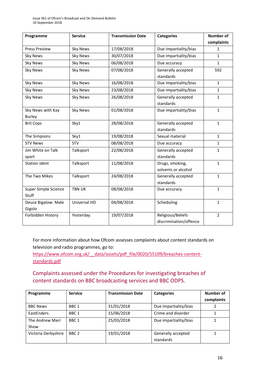| Programme            | <b>Service</b>  | <b>Transmission Date</b> | <b>Categories</b>      | <b>Number of</b> |
|----------------------|-----------------|--------------------------|------------------------|------------------|
|                      |                 |                          |                        | complaints       |
| <b>Press Preview</b> | <b>Sky News</b> | 17/08/2018               | Due impartiality/bias  | 1                |
| <b>Sky News</b>      | <b>Sky News</b> | 30/07/2018               | Due impartiality/bias  | $\mathbf{1}$     |
| <b>Sky News</b>      | Sky News        | 06/08/2018               | Due accuracy           | $\mathbf{1}$     |
| <b>Sky News</b>      | <b>Sky News</b> | 07/08/2018               | Generally accepted     | 592              |
|                      |                 |                          | standards              |                  |
| <b>Sky News</b>      | <b>Sky News</b> | 16/08/2018               | Due impartiality/bias  | $\mathbf{1}$     |
| <b>Sky News</b>      | <b>Sky News</b> | 23/08/2018               | Due impartiality/bias  | $\mathbf{1}$     |
| <b>Sky News</b>      | <b>Sky News</b> | 26/08/2018               | Generally accepted     | $\mathbf{1}$     |
|                      |                 |                          | standards              |                  |
| Sky News with Kay    | <b>Sky News</b> | 01/08/2018               | Due impartiality/bias  | $\mathbf{1}$     |
| <b>Burley</b>        |                 |                          |                        |                  |
| <b>Brit Cops</b>     | Sky1            | 28/08/2018               | Generally accepted     | $\mathbf{1}$     |
|                      |                 |                          | standards              |                  |
| The Simpsons         | Sky1            | 19/08/2018               | Sexual material        | $\mathbf{1}$     |
| <b>STV News</b>      | <b>STV</b>      | 08/08/2018               | Due accuracy           | $\mathbf{1}$     |
| Jim White on Talk    | Talksport       | 22/08/2018               | Generally accepted     | $\mathbf{1}$     |
| sport                |                 |                          | standards              |                  |
| <b>Station ident</b> | Talksport       | 11/08/2018               | Drugs, smoking,        | $\mathbf{1}$     |
|                      |                 |                          | solvents or alcohol    |                  |
| The Two Mikes        | Talksport       | 24/08/2018               | Generally accepted     | $\mathbf{1}$     |
|                      |                 |                          | standards              |                  |
| Super Simple Science | <b>TBN UK</b>   | 08/08/2018               | Due accuracy           | $\mathbf{1}$     |
| Stuff                |                 |                          |                        |                  |
| Deuce Bigalow: Male  | Universal HD    | 04/08/2018               | Scheduling             | $\mathbf{1}$     |
| Gigolo               |                 |                          |                        |                  |
| Forbidden History    | Yesterday       | 19/07/2018               | Religious/Beliefs      | $\overline{2}$   |
|                      |                 |                          | discrimination/offence |                  |

For more information about how Ofcom assesses complaints about content standards on television and radio programmes, go to:

https://www.ofcom.org.uk/ data/assets/pdf file/0020/55109/breaches-content[standards.pdf](https://www.ofcom.org.uk/__data/assets/pdf_file/0020/55109/breaches-content-standards.pdf)

### Complaints assessed under the Procedures for investigating breaches of content standards on BBC broadcasting services and BBC ODPS.

| Programme           | <b>Service</b>   | <b>Transmission Date</b> | <b>Categories</b>     | Number of  |
|---------------------|------------------|--------------------------|-----------------------|------------|
|                     |                  |                          |                       | complaints |
| <b>BBC News</b>     | BBC <sub>1</sub> | 31/01/2018               | Due impartiality/bias |            |
| EastEnders          | BBC <sub>1</sub> | 15/06/2018               | Crime and disorder    |            |
| The Andrew Marr     | BBC <sub>1</sub> | 25/03/2018               | Due impartiality/bias |            |
| Show                |                  |                          |                       |            |
| Victoria Derbyshire | BBC <sub>2</sub> | 19/01/2018               | Generally accepted    |            |
|                     |                  |                          | standards             |            |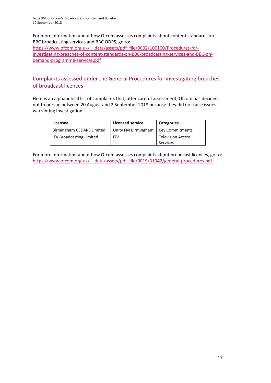For more information about how Ofcom assesses complaints about content standards on BBC broadcasting services and BBC ODPS, go to: [https://www.ofcom.org.uk/\\_\\_data/assets/pdf\\_file/0002/100100/Procedures-for](https://www.ofcom.org.uk/__data/assets/pdf_file/0002/100100/Procedures-for-investigating-breaches-of-content-standards-on-BBC-broadcasting-services-and-BBC-on-demand-programme-services.pdf)[investigating-breaches-of-content-standards-on-BBC-broadcasting-services-and-BBC-on](https://www.ofcom.org.uk/__data/assets/pdf_file/0002/100100/Procedures-for-investigating-breaches-of-content-standards-on-BBC-broadcasting-services-and-BBC-on-demand-programme-services.pdf)[demand-programme-services.pdf](https://www.ofcom.org.uk/__data/assets/pdf_file/0002/100100/Procedures-for-investigating-breaches-of-content-standards-on-BBC-broadcasting-services-and-BBC-on-demand-programme-services.pdf)

### Complaints assessed under the General Procedures for investigating breaches of broadcast licences

Here is an alphabetical list of complaints that, after careful assessment, Ofcom has decided not to pursue between 20 August and 2 September 2018 because they did not raise issues warranting investigation.

| Licensee                        | <b>Licensed service</b> | <b>Categories</b>                    |
|---------------------------------|-------------------------|--------------------------------------|
| Birmingham CEDARS Limited       | Unity FM Birmingham     | <b>Key Commitments</b>               |
| <b>ITV Broadcasting Limited</b> | ITV                     | <b>Television Access</b><br>Services |

For more information about how Ofcom assesses complaints about broadcast licences, go to: https://www.ofcom.org.uk/ data/assets/pdf file/0019/31942/general-procedures.pdf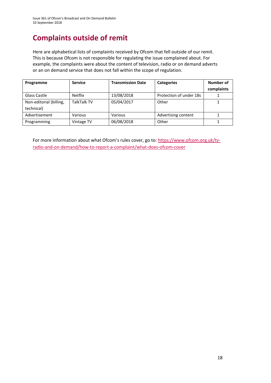# **Complaints outside of remit**

Here are alphabetical lists of complaints received by Ofcom that fell outside of our remit. This is because Ofcom is not responsible for regulating the issue complained about. For example, the complaints were about the content of television, radio or on demand adverts or an on demand service that does not fall within the scope of regulation.

| Programme                             | <b>Service</b>     | <b>Transmission Date</b> | <b>Categories</b>       | Number of<br>complaints |
|---------------------------------------|--------------------|--------------------------|-------------------------|-------------------------|
| Glass Castle                          | <b>Netflix</b>     | 13/08/2018               | Protection of under 18s |                         |
| Non-editorial (billing,<br>technical) | <b>TalkTalk TV</b> | 05/04/2017               | Other                   |                         |
| Advertisement                         | Various            | Various                  | Advertising content     |                         |
| Programming                           | Vintage TV         | 06/08/2018               | Other                   |                         |

For more information about what Ofcom's rules cover, go to: [https://www.ofcom.org.uk/tv](https://www.ofcom.org.uk/tv-radio-and-on-demand/how-to-report-a-complaint/what-does-ofcom-cover)[radio-and-on-demand/how-to-report-a-complaint/what-does-ofcom-cover](https://www.ofcom.org.uk/tv-radio-and-on-demand/how-to-report-a-complaint/what-does-ofcom-cover)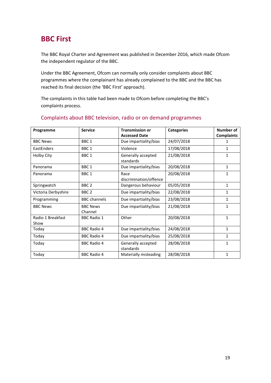# **BBC First**

The BBC Royal Charter and Agreement was published in December 2016, which made Ofcom the independent regulator of the BBC.

Under the BBC Agreement, Ofcom can normally only consider complaints about BBC programmes where the complainant has already complained to the BBC and the BBC has reached its final decision (the 'BBC First' approach).

The complaints in this table had been made to Ofcom before completing the BBC's complaints process.

| Programme                 | <b>Service</b>             | <b>Transmission or</b>          | <b>Categories</b> | <b>Number of</b>  |
|---------------------------|----------------------------|---------------------------------|-------------------|-------------------|
|                           |                            | <b>Accessed Date</b>            |                   | <b>Complaints</b> |
| <b>BBC News</b>           | BBC <sub>1</sub>           | Due impartiality/bias           | 24/07/2018        | 1                 |
| EastEnders                | BBC <sub>1</sub>           | Violence                        | 17/08/2018        | 1                 |
| <b>Holby City</b>         | BBC <sub>1</sub>           | Generally accepted<br>standards | 21/08/2018        | 1                 |
| Panorama                  | BBC <sub>1</sub>           | Due impartiality/bias           | 20/08/2018        | $\mathbf{1}$      |
| Panorama                  | BBC <sub>1</sub>           | Race<br>discrimination/offence  | 20/08/2018        | 1                 |
| Springwatch               | BBC <sub>2</sub>           | Dangerous behaviour             | 05/05/2018        | $\mathbf{1}$      |
| Victoria Derbyshire       | BBC <sub>2</sub>           | Due impartiality/bias           | 22/08/2018        | 1                 |
| Programming               | <b>BBC</b> channels        | Due impartiality/bias           | 23/08/2018        | 1                 |
| <b>BBC News</b>           | <b>BBC News</b><br>Channel | Due impartiality/bias           | 21/08/2018        | $\mathbf{1}$      |
| Radio 1 Breakfast<br>Show | <b>BBC Radio 1</b>         | Other                           | 20/08/2018        | $\mathbf{1}$      |
| Today                     | <b>BBC Radio 4</b>         | Due impartiality/bias           | 24/08/2018        | $\mathbf{1}$      |
| Today                     | <b>BBC Radio 4</b>         | Due impartiality/bias           | 25/08/2018        | $\mathbf{1}$      |
| Today                     | <b>BBC Radio 4</b>         | Generally accepted<br>standards | 28/08/2018        | 1                 |
| Today                     | <b>BBC Radio 4</b>         | Materially misleading           | 28/08/2018        | 1                 |

#### Complaints about BBC television, radio or on demand programmes